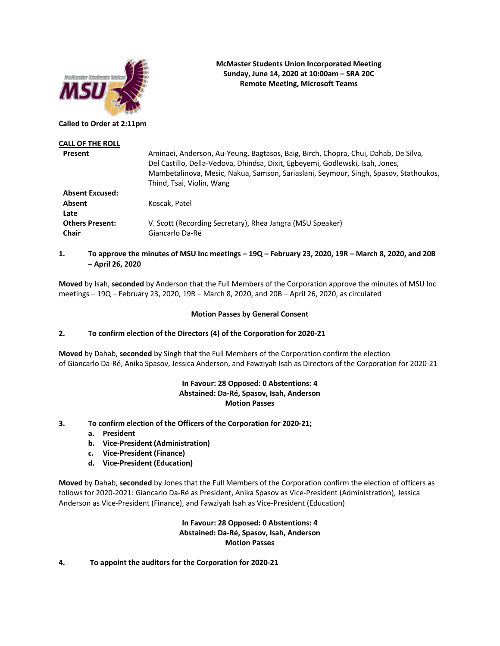

## **McMaster Students Union Incorporated Meeting Sunday, June 14, 2020 at 10:00am – SRA 20C Remote Meeting, Microsoft Teams**

**Called to Order at 2:11pm**

| Aminaei, Anderson, Au-Yeung, Bagtasos, Baig, Birch, Chopra, Chui, Dahab, De Silva,<br>Del Castillo, Della-Vedova, Dhindsa, Dixit, Egbeyemi, Godlewski, Isah, Jones,<br>Mambetalinova, Mesic, Nakua, Samson, Sariaslani, Seymour, Singh, Spasov, Stathoukos,<br>Thind, Tsai, Violin, Wang |
|------------------------------------------------------------------------------------------------------------------------------------------------------------------------------------------------------------------------------------------------------------------------------------------|
|                                                                                                                                                                                                                                                                                          |
| Koscak, Patel                                                                                                                                                                                                                                                                            |
| V. Scott (Recording Secretary), Rhea Jangra (MSU Speaker)<br>Giancarlo Da-Ré                                                                                                                                                                                                             |
|                                                                                                                                                                                                                                                                                          |

# **1. To approve the minutes of MSU Inc meetings – 19Q – February 23, 2020, 19R – March 8, 2020, and 20B – April 26, 2020**

**Moved** by Isah, **seconded** by Anderson that the Full Members of the Corporation approve the minutes of MSU Inc meetings – 19Q – February 23, 2020, 19R – March 8, 2020, and 20B – April 26, 2020, as circulated

## **Motion Passes by General Consent**

# **2. To confirm election of the Directors (4) of the Corporation for 2020-21**

**Moved** by Dahab, **seconded** by Singh that the Full Members of the Corporation confirm the election of Giancarlo Da-Ré, Anika Spasov, Jessica Anderson, and Fawziyah Isah as Directors of the Corporation for 2020-21

# **In Favour: 28 Opposed: 0 Abstentions: 4 Abstained: Da-Ré, Spasov, Isah, Anderson Motion Passes**

- **3. To confirm election of the Officers of the Corporation for 2020-21;** 
	- **a. President**
	- **b. Vice-President (Administration)**
	- **c. Vice-President (Finance)**
	- **d. Vice-President (Education)**

**Moved** by Dahab, **seconded** by Jones that the Full Members of the Corporation confirm the election of officers as follows for 2020-2021: Giancarlo Da-Ré as President, Anika Spasov as Vice-President (Administration), Jessica Anderson as Vice-President (Finance), and Fawziyah Isah as Vice-President (Education)

## **In Favour: 28 Opposed: 0 Abstentions: 4 Abstained: Da-Ré, Spasov, Isah, Anderson Motion Passes**

### **4. To appoint the auditors for the Corporation for 2020-21**